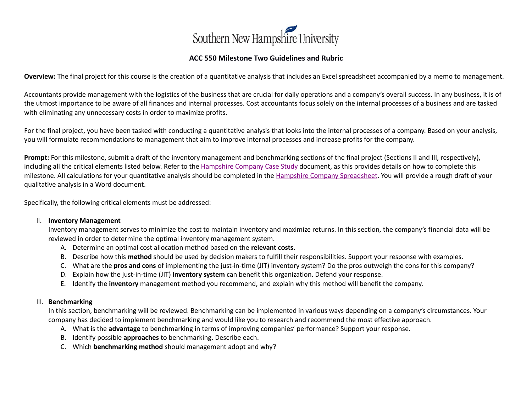

## **ACC 550 Milestone Two Guidelines and Rubric**

**Overview:** The final project for this course is the creation of a quantitative analysis that includes an Excel spreadsheet accompanied by a memo to management.

Accountants provide management with the logistics of the business that are crucial for daily operations and a company's overall success. In any business, it is of the utmost importance to be aware of all finances and internal processes. Cost accountants focus solely on the internal processes of a business and are tasked with eliminating any unnecessary costs in order to maximize profits.

For the final project, you have been tasked with conducting a quantitative analysis that looks into the internal processes of a company. Based on your analysis, you will formulate recommendations to management that aim to improve internal processes and increase profits for the company.

**Prompt:** For this milestone, submit a draft of the inventory management and benchmarking sections of the final project (Sections II and III, respectively), including all the critical elements listed below. Refer to the [Hampshire Company Case Study](https://learn.snhu.edu/d2l/lor/viewer/view.d2l?ou=6606&loIdentId=661) document, as this provides details on how to complete this milestone. All calculations for your quantitative analysis should be completed in th[e Hampshire Company Spreadsheet.](https://learn.snhu.edu/d2l/lor/viewer/view.d2l?ou=6606&loIdentId=662) You will provide a rough draft of your qualitative analysis in a Word document.

Specifically, the following critical elements must be addressed:

#### II. **Inventory Management**

Inventory management serves to minimize the cost to maintain inventory and maximize returns. In this section, the company's financial data will be reviewed in order to determine the optimal inventory management system.

- A. Determine an optimal cost allocation method based on the **relevant costs**.
- B. Describe how this **method** should be used by decision makers to fulfill their responsibilities. Support your response with examples.
- C. What are the **pros and cons** of implementing the just-in-time (JIT) inventory system? Do the pros outweigh the cons for this company?
- D. Explain how the just-in-time (JIT) **inventory system** can benefit this organization. Defend your response.
- E. Identify the **inventory** management method you recommend, and explain why this method will benefit the company.

### III. **Benchmarking**

In this section, benchmarking will be reviewed. Benchmarking can be implemented in various ways depending on a company's circumstances. Your company has decided to implement benchmarking and would like you to research and recommend the most effective approach.

- A. What is the **advantage** to benchmarking in terms of improving companies' performance? Support your response.
- B. Identify possible **approaches** to benchmarking. Describe each.
- C. Which **benchmarking method** should management adopt and why?